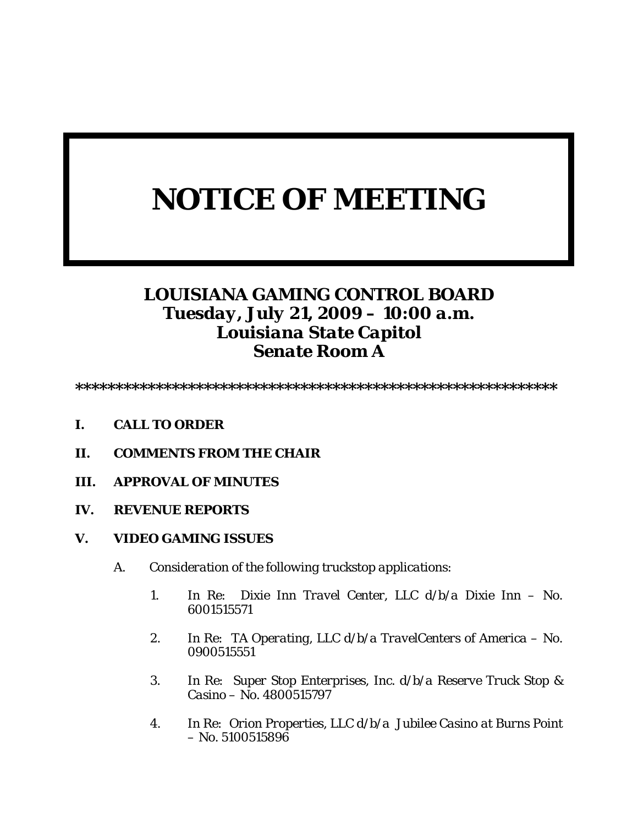# *NOTICE OF MEETING*

## *LOUISIANA GAMING CONTROL BOARD Tuesday, July 21, 2009 – 10:00 a.m. Louisiana State Capitol Senate Room A*

*\*\*\*\*\*\*\*\*\*\*\*\*\*\*\*\*\*\*\*\*\*\*\*\*\*\*\*\*\*\*\*\*\*\*\*\*\*\*\*\*\*\*\*\*\*\*\*\*\*\*\*\*\*\*\*\*\*\*\*\** 

- *I. CALL TO ORDER*
- *II. COMMENTS FROM THE CHAIR*
- *III. APPROVAL OF MINUTES*
- *IV. REVENUE REPORTS*
- *V. VIDEO GAMING ISSUES* 
	- *A. Consideration of the following truckstop applications:* 
		- *1. In Re: Dixie Inn Travel Center, LLC d/b/a Dixie Inn No. 6001515571*
		- *2. In Re: TA Operating, LLC d/b/a TravelCenters of America No. 0900515551*
		- *3. In Re: Super Stop Enterprises, Inc. d/b/a Reserve Truck Stop & Casino – No. 4800515797*
		- *4. In Re: Orion Properties, LLC d/b/a Jubilee Casino at Burns Point – No. 5100515896*